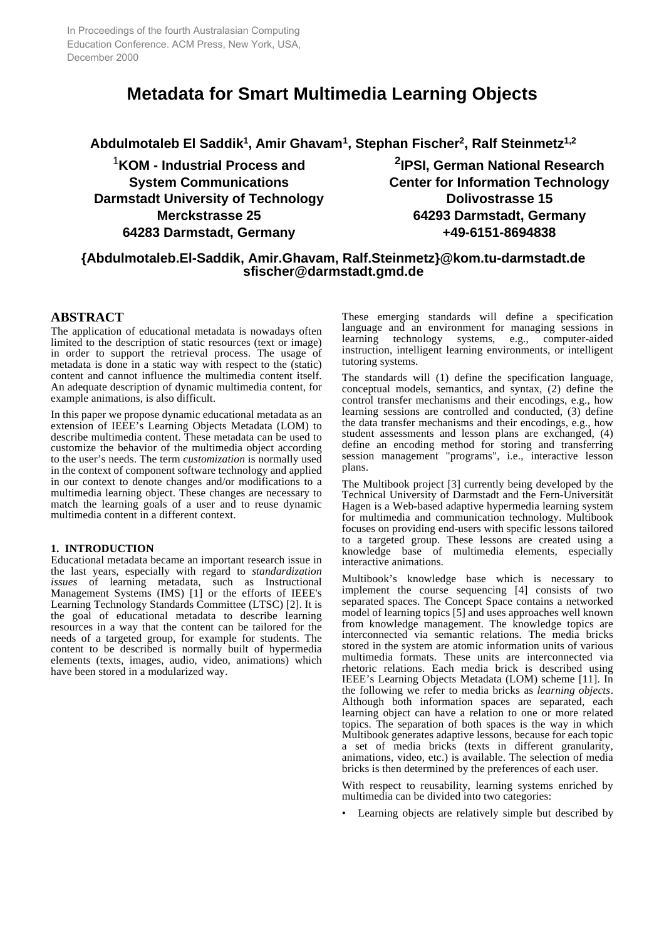# **Metadata for Smart Multimedia Learning Objects**

**Abdulmotaleb El Saddik<sup>1</sup> , Amir Ghavam<sup>1</sup> , Stephan Fischer<sup>2</sup> , Ralf Steinmetz1,2**

<sup>1</sup>**KOM - Industrial Process and System Communications Darmstadt University of Technology Merckstrasse 25 64283 Darmstadt, Germany**

**2 IPSI, German National Research Center for Information Technology Dolivostrasse 15 64293 Darmstadt, Germany +49-6151-8694838**

## **{Abdulmotaleb.El-Saddik, Amir.Ghavam, Ralf.Steinmetz}@kom.tu-darmstadt.de sfischer@darmstadt.gmd.de**

## **ABSTRACT**

The application of educational metadata is nowadays often limited to the description of static resources (text or image) in order to support the retrieval process. The usage of metadata is done in a static way with respect to the (static) content and cannot influence the multimedia content itself. An adequate description of dynamic multimedia content, for example animations, is also difficult.

In this paper we propose dynamic educational metadata as an extension of IEEE's Learning Objects Metadata (LOM) to describe multimedia content. These metadata can be used to customize the behavior of the multimedia object according to the user's needs. The term *customization* is normally used in the context of component software technology and applied in our context to denote changes and/or modifications to a multimedia learning object. These changes are necessary to match the learning goals of a user and to reuse dynamic multimedia content in a different context.

### **1. INTRODUCTION**

Educational metadata became an important research issue in the last years, especially with regard to *standardization issues* of learning metadata, such as Instructional Management Systems (IMS) [1] or the efforts of IEEE's Learning Technology Standards Committee (LTSC) [2]. It is the goal of educational metadata to describe learning resources in a way that the content can be tailored for the needs of a targeted group, for example for students. The content to be described is normally built of hypermedia elements (texts, images, audio, video, animations) which have been stored in a modularized way.

These emerging standards will define a specification language and an environment for managing sessions in learning technology systems, e.g., computer-aided instruction, intelligent learning environments, or intelligent tutoring systems.

The standards will (1) define the specification language, conceptual models, semantics, and syntax, (2) define the control transfer mechanisms and their encodings, e.g., how learning sessions are controlled and conducted, (3) define the data transfer mechanisms and their encodings, e.g., how student assessments and lesson plans are exchanged, (4) define an encoding method for storing and transferring session management "programs", i.e., interactive lesson plans.

The Multibook project [3] currently being developed by the Technical University of Darmstadt and the Fern-Universität Hagen is a Web-based adaptive hypermedia learning system for multimedia and communication technology. Multibook focuses on providing end-users with specific lessons tailored to a targeted group. These lessons are created using a knowledge base of multimedia elements, especially interactive animations.

Multibook's knowledge base which is necessary to implement the course sequencing [4] consists of two separated spaces. The Concept Space contains a networked model of learning topics [5] and uses approaches well known from knowledge management. The knowledge topics are interconnected via semantic relations. The media bricks stored in the system are atomic information units of various multimedia formats. These units are interconnected via rhetoric relations. Each media brick is described using IEEE's Learning Objects Metadata (LOM) scheme [11]. In the following we refer to media bricks as *learning objects*. Although both information spaces are separated, each learning object can have a relation to one or more related topics. The separation of both spaces is the way in which Multibook generates adaptive lessons, because for each topic a set of media bricks (texts in different granularity, animations, video, etc.) is available. The selection of media bricks is then determined by the preferences of each user.

With respect to reusability, learning systems enriched by multimedia can be divided into two categories:

Learning objects are relatively simple but described by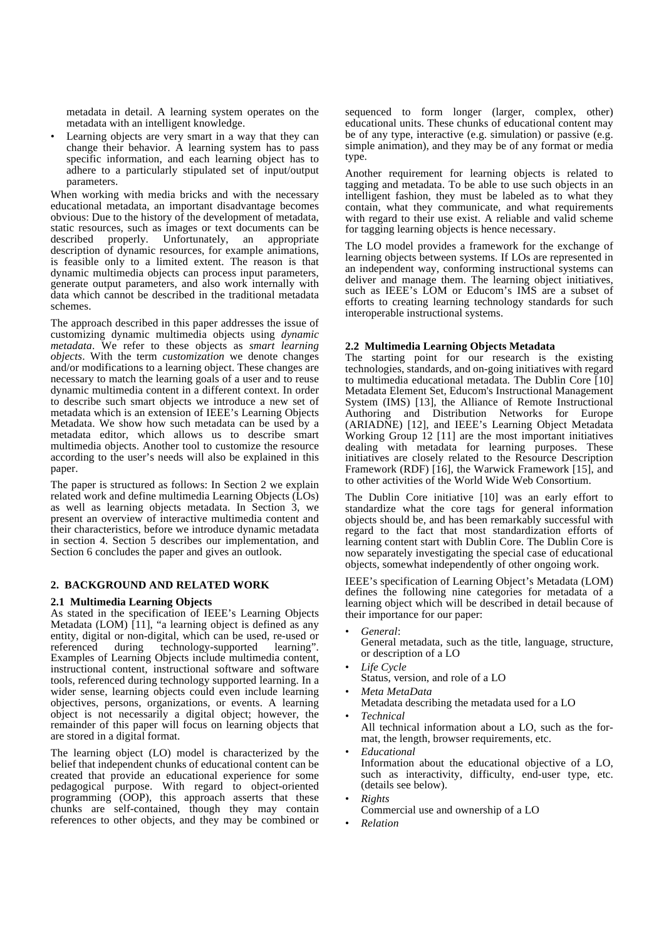metadata in detail. A learning system operates on the metadata with an intelligent knowledge.

Learning objects are very smart in a way that they can change their behavior. A learning system has to pass specific information, and each learning object has to adhere to a particularly stipulated set of input/output parameters.

When working with media bricks and with the necessary educational metadata, an important disadvantage becomes obvious: Due to the history of the development of metadata, static resources, such as images or text documents can be described properly. Unfortunately, an appropriate description of dynamic resources, for example animations, is feasible only to a limited extent. The reason is that dynamic multimedia objects can process input parameters, generate output parameters, and also work internally with data which cannot be described in the traditional metadata schemes.

The approach described in this paper addresses the issue of customizing dynamic multimedia objects using *dynamic metadata*. We refer to these objects as *smart learning objects*. With the term *customization* we denote changes and/or modifications to a learning object. These changes are necessary to match the learning goals of a user and to reuse dynamic multimedia content in a different context. In order to describe such smart objects we introduce a new set of metadata which is an extension of IEEE's Learning Objects Metadata. We show how such metadata can be used by a metadata editor, which allows us to describe smart multimedia objects. Another tool to customize the resource according to the user's needs will also be explained in this paper.

The paper is structured as follows: In Section 2 we explain related work and define multimedia Learning Objects (LOs) as well as learning objects metadata. In Section 3, we present an overview of interactive multimedia content and their characteristics, before we introduce dynamic metadata in section 4. Section 5 describes our implementation, and Section 6 concludes the paper and gives an outlook.

#### **2. BACKGROUND AND RELATED WORK**

#### **2.1 Multimedia Learning Objects**

As stated in the specification of IEEE's Learning Objects Metadata (LOM) [11], "a learning object is defined as any entity, digital or non-digital, which can be used, re-used or referenced during technology-supported learning". Examples of Learning Objects include multimedia content, instructional content, instructional software and software tools, referenced during technology supported learning. In a wider sense, learning objects could even include learning objectives, persons, organizations, or events. A learning object is not necessarily a digital object; however, the remainder of this paper will focus on learning objects that are stored in a digital format.

The learning object (LO) model is characterized by the belief that independent chunks of educational content can be created that provide an educational experience for some pedagogical purpose. With regard to object-oriented programming (OOP), this approach asserts that these chunks are self-contained, though they may contain references to other objects, and they may be combined or

sequenced to form longer (larger, complex, other) educational units. These chunks of educational content may be of any type, interactive (e.g. simulation) or passive (e.g. simple animation), and they may be of any format or media type.

Another requirement for learning objects is related to tagging and metadata. To be able to use such objects in an intelligent fashion, they must be labeled as to what they contain, what they communicate, and what requirements with regard to their use exist. A reliable and valid scheme for tagging learning objects is hence necessary.

The LO model provides a framework for the exchange of learning objects between systems. If LOs are represented in an independent way, conforming instructional systems can deliver and manage them. The learning object initiatives, such as IEEE's LOM or Educom's IMS are a subset of efforts to creating learning technology standards for such interoperable instructional systems.

#### **2.2 Multimedia Learning Objects Metadata**

The starting point for our research is the existing technologies, standards, and on-going initiatives with regard to multimedia educational metadata. The Dublin Core [10] Metadata Element Set, Educom's Instructional Management System (IMS) [13], the Alliance of Remote Instructional Authoring and Distribution Networks for Europe (ARIADNE) [12], and IEEE's Learning Object Metadata Working Group 12 [11] are the most important initiatives dealing with metadata for learning purposes. These initiatives are closely related to the Resource Description Framework (RDF) [16], the Warwick Framework [15], and to other activities of the World Wide Web Consortium.

The Dublin Core initiative [10] was an early effort to standardize what the core tags for general information objects should be, and has been remarkably successful with regard to the fact that most standardization efforts of learning content start with Dublin Core. The Dublin Core is now separately investigating the special case of educational objects, somewhat independently of other ongoing work.

IEEE's specification of Learning Object's Metadata (LOM) defines the following nine categories for metadata of a learning object which will be described in detail because of their importance for our paper:

• *General*:

General metadata, such as the title, language, structure, or description of a LO

- *Life Cycle*
- Status, version, and role of a LO
- *Meta MetaData* Metadata describing the metadata used for a LO
- *Technical*
- All technical information about a LO, such as the format, the length, browser requirements, etc.

• *Educational* Information about the educational objective of a LO, such as interactivity, difficulty, end-user type, etc. (details see below).

• *Rights*

Commercial use and ownership of a LO

• *Relation*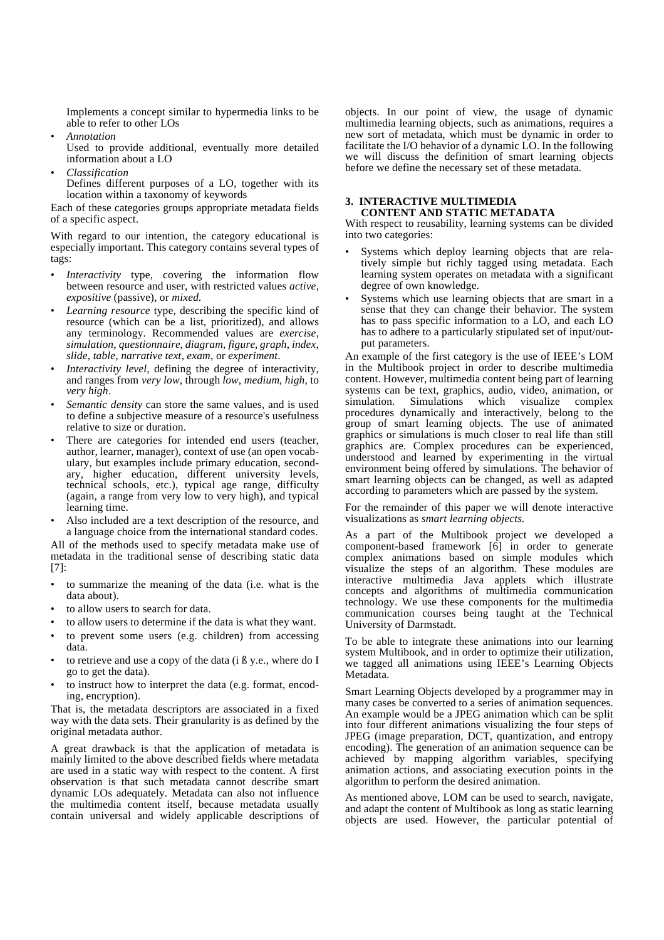Implements a concept similar to hypermedia links to be able to refer to other LOs

- *Annotation*
- Used to provide additional, eventually more detailed information about a LO
- *Classification*

Defines different purposes of a LO, together with its location within a taxonomy of keywords

Each of these categories groups appropriate metadata fields of a specific aspect.

With regard to our intention, the category educational is especially important. This category contains several types of tags:

- *Interactivity* type, covering the information flow between resource and user, with restricted values *active*, *expositive* (passive), or *mixed*.
- *Learning resource* type, describing the specific kind of resource (which can be a list, prioritized), and allows any terminology. Recommended values are *exercise*, *simulation*, *questionnaire*, *diagram*, *figure*, *graph*, *index*, *slide*, *table*, *narrative text*, *exam*, or *experiment*.
- *Interactivity level*, defining the degree of interactivity, and ranges from *very low*, through *low*, *medium*, *high*, to *very high*.
- Semantic density can store the same values, and is used to define a subjective measure of a resource's usefulness relative to size or duration.
- There are categories for intended end users (teacher, author, learner, manager), context of use (an open vocabulary, but examples include primary education, secondary, higher education, different university levels, technical schools, etc.), typical age range, difficulty (again, a range from very low to very high), and typical learning time.
- Also included are a text description of the resource, and a language choice from the international standard codes.

All of the methods used to specify metadata make use of metadata in the traditional sense of describing static data [7]:

- to summarize the meaning of the data (i.e. what is the data about).
- to allow users to search for data.
- to allow users to determine if the data is what they want.
- to prevent some users (e.g. children) from accessing data.
- to retrieve and use a copy of the data (i ß y.e., where do I go to get the data).
- to instruct how to interpret the data (e.g. format, encoding, encryption).

That is, the metadata descriptors are associated in a fixed way with the data sets. Their granularity is as defined by the original metadata author.

A great drawback is that the application of metadata is mainly limited to the above described fields where metadata are used in a static way with respect to the content. A first observation is that such metadata cannot describe smart dynamic LOs adequately. Metadata can also not influence the multimedia content itself, because metadata usually contain universal and widely applicable descriptions of

objects. In our point of view, the usage of dynamic multimedia learning objects, such as animations, requires a new sort of metadata, which must be dynamic in order to facilitate the I/O behavior of a dynamic LO. In the following we will discuss the definition of smart learning objects before we define the necessary set of these metadata.

#### **3. INTERACTIVE MULTIMEDIA CONTENT AND STATIC METADATA**

With respect to reusability, learning systems can be divided into two categories:

- Systems which deploy learning objects that are relatively simple but richly tagged using metadata. Each learning system operates on metadata with a significant degree of own knowledge.
- Systems which use learning objects that are smart in a sense that they can change their behavior. The system has to pass specific information to a LO, and each LO has to adhere to a particularly stipulated set of input/output parameters.

An example of the first category is the use of IEEE's LOM in the Multibook project in order to describe multimedia content. However, multimedia content being part of learning systems can be text, graphics, audio, video, animation, or simulation. Simulations which visualize complex Simulations which visualize complex procedures dynamically and interactively, belong to the group of smart learning objects. The use of animated graphics or simulations is much closer to real life than still graphics are. Complex procedures can be experienced, understood and learned by experimenting in the virtual environment being offered by simulations. The behavior of smart learning objects can be changed, as well as adapted according to parameters which are passed by the system.

For the remainder of this paper we will denote interactive visualizations as *smart learning objects*.

As a part of the Multibook project we developed a component-based framework [6] in order to generate complex animations based on simple modules which visualize the steps of an algorithm. These modules are interactive multimedia Java applets which illustrate concepts and algorithms of multimedia communication technology. We use these components for the multimedia communication courses being taught at the Technical University of Darmstadt.

To be able to integrate these animations into our learning system Multibook, and in order to optimize their utilization, we tagged all animations using IEEE's Learning Objects Metadata.

Smart Learning Objects developed by a programmer may in many cases be converted to a series of animation sequences. An example would be a JPEG animation which can be split into four different animations visualizing the four steps of JPEG (image preparation, DCT, quantization, and entropy encoding). The generation of an animation sequence can be achieved by mapping algorithm variables, specifying animation actions, and associating execution points in the algorithm to perform the desired animation.

As mentioned above, LOM can be used to search, navigate, and adapt the content of Multibook as long as static learning objects are used. However, the particular potential of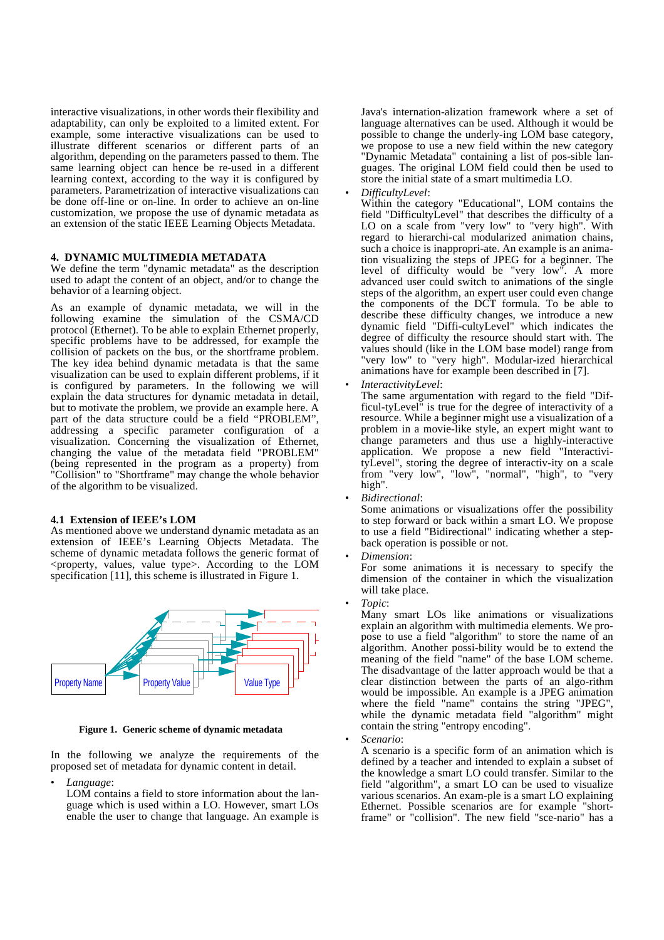interactive visualizations, in other words their flexibility and adaptability, can only be exploited to a limited extent. For example, some interactive visualizations can be used to illustrate different scenarios or different parts of an algorithm, depending on the parameters passed to them. The same learning object can hence be re-used in a different learning context, according to the way it is configured by parameters. Parametrization of interactive visualizations can be done off-line or on-line. In order to achieve an on-line customization, we propose the use of dynamic metadata as an extension of the static IEEE Learning Objects Metadata.

#### **4. DYNAMIC MULTIMEDIA METADATA**

We define the term "dynamic metadata" as the description used to adapt the content of an object, and/or to change the behavior of a learning object.

As an example of dynamic metadata, we will in the following examine the simulation of the CSMA/CD protocol (Ethernet). To be able to explain Ethernet properly, specific problems have to be addressed, for example the collision of packets on the bus, or the shortframe problem. The key idea behind dynamic metadata is that the same visualization can be used to explain different problems, if it is configured by parameters. In the following we will explain the data structures for dynamic metadata in detail, but to motivate the problem, we provide an example here. A part of the data structure could be a field "PROBLEM", addressing a specific parameter configuration of a visualization. Concerning the visualization of Ethernet, changing the value of the metadata field "PROBLEM" (being represented in the program as a property) from "Collision" to "Shortframe" may change the whole behavior of the algorithm to be visualized.

#### **4.1 Extension of IEEE's LOM**

As mentioned above we understand dynamic metadata as an extension of IEEE's Learning Objects Metadata. The scheme of dynamic metadata follows the generic format of <property, values, value type>. According to the LOM specification [11], this scheme is illustrated in Figure 1.



**Figure 1. Generic scheme of dynamic metadata**

In the following we analyze the requirements of the proposed set of metadata for dynamic content in detail.

• *Language*:

LOM contains a field to store information about the language which is used within a LO. However, smart LOs enable the user to change that language. An example is Java's internation-alization framework where a set of language alternatives can be used. Although it would be possible to change the underly-ing LOM base category, we propose to use a new field within the new category "Dynamic Metadata" containing a list of pos-sible languages. The original LOM field could then be used to store the initial state of a smart multimedia LO.

• *DifficultyLevel*:

Within the category "Educational", LOM contains the field "DifficultyLevel" that describes the difficulty of a LO on a scale from "very low" to "very high". With regard to hierarchi-cal modularized animation chains, such a choice is inappropri-ate. An example is an animation visualizing the steps of JPEG for a beginner. The level of difficulty would be "very low". A more advanced user could switch to animations of the single steps of the algorithm, an expert user could even change the components of the DCT formula. To be able to describe these difficulty changes, we introduce a new dynamic field "Diffi-cultyLevel" which indicates the degree of difficulty the resource should start with. The values should (like in the LOM base model) range from "very low" to "very high". Modular-ized hierarchical animations have for example been described in [7].

• *InteractivityLevel*:

The same argumentation with regard to the field "Difficul-tyLevel" is true for the degree of interactivity of a resource. While a beginner might use a visualization of a problem in a movie-like style, an expert might want to change parameters and thus use a highly-interactive application. We propose a new field "InteractivityLevel", storing the degree of interactiv-ity on a scale from "very low", "low", "normal", "high", to "very high".

• *Bidirectional*:

Some animations or visualizations offer the possibility to step forward or back within a smart LO. We propose to use a field "Bidirectional" indicating whether a stepback operation is possible or not.

• *Dimension*:

For some animations it is necessary to specify the dimension of the container in which the visualization will take place.

• *Topic*:

Many smart LOs like animations or visualizations explain an algorithm with multimedia elements. We propose to use a field "algorithm" to store the name of an algorithm. Another possi-bility would be to extend the meaning of the field "name" of the base LOM scheme. The disadvantage of the latter approach would be that a clear distinction between the parts of an algo-rithm would be impossible. An example is a JPEG animation where the field "name" contains the string "JPEG", while the dynamic metadata field "algorithm" might contain the string "entropy encoding".

• *Scenario*:

A scenario is a specific form of an animation which is defined by a teacher and intended to explain a subset of the knowledge a smart LO could transfer. Similar to the field "algorithm", a smart LO can be used to visualize various scenarios. An exam-ple is a smart LO explaining Ethernet. Possible scenarios are for example "shortframe" or "collision". The new field "sce-nario" has a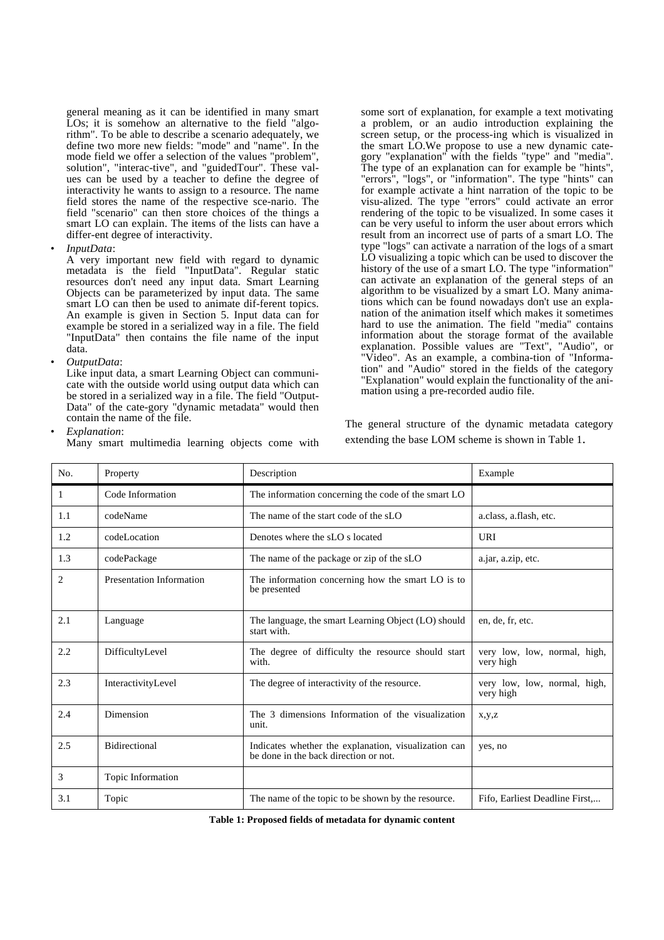general meaning as it can be identified in many smart LOs; it is somehow an alternative to the field "algorithm". To be able to describe a scenario adequately, we define two more new fields: "mode" and "name". In the mode field we offer a selection of the values "problem", solution", "interac-tive", and "guidedTour". These values can be used by a teacher to define the degree of interactivity he wants to assign to a resource. The name field stores the name of the respective sce-nario. The field "scenario" can then store choices of the things a smart LO can explain. The items of the lists can have a differ-ent degree of interactivity.

• *InputData*:

A very important new field with regard to dynamic metadata is the field "InputData". Regular static resources don't need any input data. Smart Learning Objects can be parameterized by input data. The same smart LO can then be used to animate dif-ferent topics. An example is given in Section 5. Input data can for example be stored in a serialized way in a file. The field "InputData" then contains the file name of the input data.

• *OutputData*:

Like input data, a smart Learning Object can communicate with the outside world using output data which can be stored in a serialized way in a file. The field "Output-Data" of the cate-gory "dynamic metadata" would then contain the name of the file.

• *Explanation*:

Many smart multimedia learning objects come with

some sort of explanation, for example a text motivating a problem, or an audio introduction explaining the screen setup, or the process-ing which is visualized in the smart LO.We propose to use a new dynamic category "explanation" with the fields "type" and "media". The type of an explanation can for example be "hints", "errors", "logs", or "information". The type "hints" can for example activate a hint narration of the topic to be visu-alized. The type "errors" could activate an error rendering of the topic to be visualized. In some cases it can be very useful to inform the user about errors which result from an incorrect use of parts of a smart LO. The type "logs" can activate a narration of the logs of a smart LO visualizing a topic which can be used to discover the history of the use of a smart LO. The type "information" can activate an explanation of the general steps of an algorithm to be visualized by a smart LO. Many animations which can be found nowadays don't use an explanation of the animation itself which makes it sometimes hard to use the animation. The field "media" contains information about the storage format of the available explanation. Possible values are "Text", "Audio", or "Video". As an example, a combina-tion of "Information" and "Audio" stored in the fields of the category "Explanation" would explain the functionality of the animation using a pre-recorded audio file.

The general structure of the dynamic metadata category extending the base LOM scheme is shown in Table 1.

| No. | Property                        | Description                                                                                   | Example                                   |
|-----|---------------------------------|-----------------------------------------------------------------------------------------------|-------------------------------------------|
| 1   | Code Information                | The information concerning the code of the smart LO                                           |                                           |
| 1.1 | codeName                        | The name of the start code of the sLO                                                         | a.class, a.flash, etc.                    |
| 1.2 | codeLocation                    | Denotes where the sLO s located                                                               | URI                                       |
| 1.3 | codePackage                     | The name of the package or zip of the sLO                                                     | a.jar, a.zip, etc.                        |
| 2   | <b>Presentation Information</b> | The information concerning how the smart LO is to<br>be presented                             |                                           |
| 2.1 | Language                        | The language, the smart Learning Object (LO) should<br>start with.                            | en, de, fr, etc.                          |
| 2.2 | DifficultyLevel                 | The degree of difficulty the resource should start<br>with.                                   | very low, low, normal, high,<br>very high |
| 2.3 | InteractivityLevel              | The degree of interactivity of the resource.                                                  | very low, low, normal, high,<br>very high |
| 2.4 | Dimension                       | The 3 dimensions Information of the visualization<br>unit.                                    | x,y,z                                     |
| 2.5 | <b>Bidirectional</b>            | Indicates whether the explanation, visualization can<br>be done in the back direction or not. | yes, no                                   |
| 3   | Topic Information               |                                                                                               |                                           |
| 3.1 | Topic                           | The name of the topic to be shown by the resource.                                            | Fifo, Earliest Deadline First,            |

**Table 1: Proposed fields of metadata for dynamic content**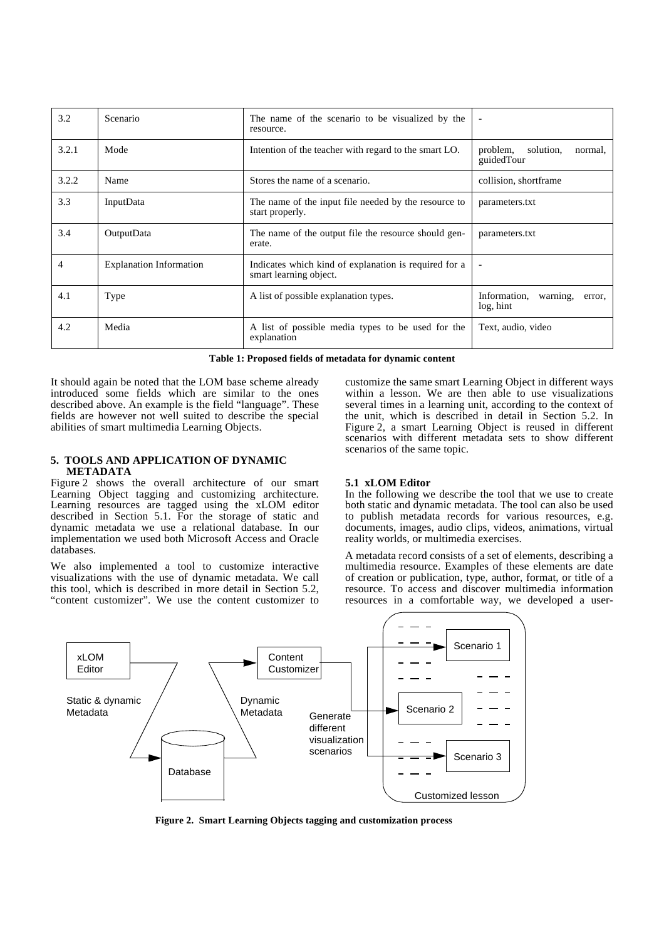| 3.2            | Scenario                       | The name of the scenario to be visualized by the<br>resource.                   | $\overline{\phantom{a}}$                        |
|----------------|--------------------------------|---------------------------------------------------------------------------------|-------------------------------------------------|
| 3.2.1          | Mode                           | Intention of the teacher with regard to the smart LO.                           | problem,<br>solution,<br>normal,<br>guidedTour  |
| 3.2.2          | Name                           | Stores the name of a scenario.                                                  | collision, shortframe                           |
| 3.3            | <b>InputData</b>               | The name of the input file needed by the resource to<br>start properly.         | parameters.txt                                  |
| 3.4            | <b>OutputData</b>              | The name of the output file the resource should gen-<br>erate.                  | parameters.txt                                  |
| $\overline{4}$ | <b>Explanation Information</b> | Indicates which kind of explanation is required for a<br>smart learning object. |                                                 |
| 4.1            | Type                           | A list of possible explanation types.                                           | Information.<br>warning,<br>error,<br>log, hint |
| 4.2            | Media                          | A list of possible media types to be used for the<br>explanation                | Text, audio, video                              |

**Table 1: Proposed fields of metadata for dynamic content**

It should again be noted that the LOM base scheme already introduced some fields which are similar to the ones described above. An example is the field "language". These fields are however not well suited to describe the special abilities of smart multimedia Learning Objects.

#### **5. TOOLS AND APPLICATION OF DYNAMIC METADATA**

Figure 2 shows the overall architecture of our smart Learning Object tagging and customizing architecture. Learning resources are tagged using the xLOM editor described in Section 5.1. For the storage of static and dynamic metadata we use a relational database. In our implementation we used both Microsoft Access and Oracle databases.

We also implemented a tool to customize interactive visualizations with the use of dynamic metadata. We call this tool, which is described in more detail in Section 5.2, "content customizer". We use the content customizer to customize the same smart Learning Object in different ways within a lesson. We are then able to use visualizations several times in a learning unit, according to the context of the unit, which is described in detail in Section 5.2. In Figure 2, a smart Learning Object is reused in different scenarios with different metadata sets to show different scenarios of the same topic.

#### **5.1 xLOM Editor**

In the following we describe the tool that we use to create both static and dynamic metadata. The tool can also be used to publish metadata records for various resources, e.g. documents, images, audio clips, videos, animations, virtual reality worlds, or multimedia exercises.

A metadata record consists of a set of elements, describing a multimedia resource. Examples of these elements are date of creation or publication, type, author, format, or title of a resource. To access and discover multimedia information resources in a comfortable way, we developed a user-



**Figure 2. Smart Learning Objects tagging and customization process**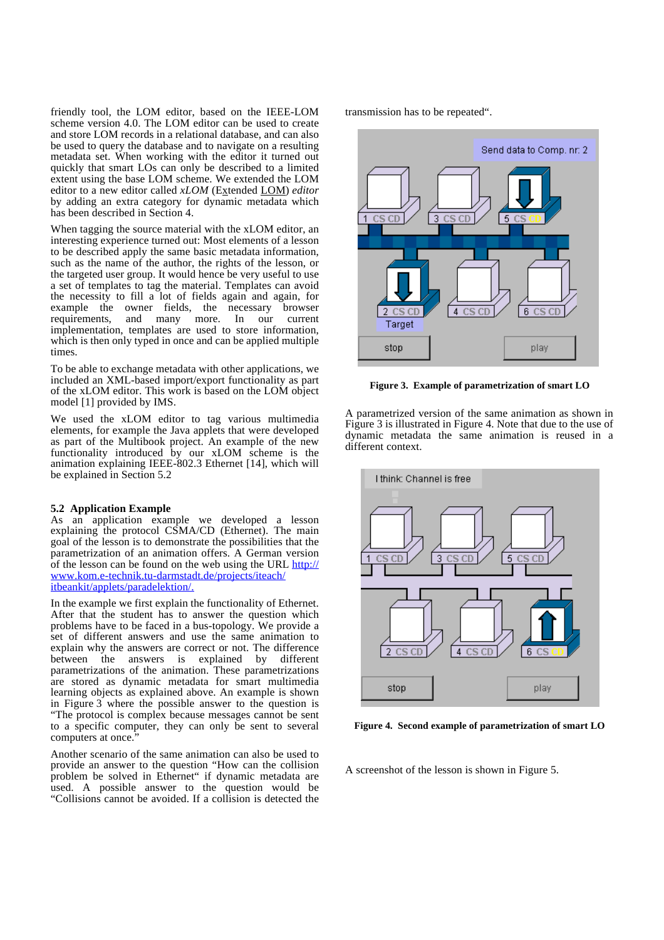friendly tool, the LOM editor, based on the IEEE-LOM scheme version 4.0. The LOM editor can be used to create and store LOM records in a relational database, and can also be used to query the database and to navigate on a resulting metadata set. When working with the editor it turned out quickly that smart LOs can only be described to a limited extent using the base LOM scheme. We extended the LOM editor to a new editor called *xLOM* (Extended LOM) *editor* by adding an extra category for dynamic metadata which has been described in Section 4.

When tagging the source material with the xLOM editor, an interesting experience turned out: Most elements of a lesson to be described apply the same basic metadata information, such as the name of the author, the rights of the lesson, or the targeted user group. It would hence be very useful to use a set of templates to tag the material. Templates can avoid the necessity to fill a lot of fields again and again, for example the owner fields, the necessary browser requirements, and many more. In our current implementation, templates are used to store information, which is then only typed in once and can be applied multiple times.

To be able to exchange metadata with other applications, we included an XML-based import/export functionality as part of the xLOM editor. This work is based on the LOM object model [1] provided by IMS.

We used the xLOM editor to tag various multimedia elements, for example the Java applets that were developed as part of the Multibook project. An example of the new functionality introduced by our xLOM scheme is the animation explaining IEEE-802.3 Ethernet [14], which will be explained in Section 5.2

#### **5.2 Application Example**

As an application example we developed a lesson explaining the protocol CSMA/CD (Ethernet). The main goal of the lesson is to demonstrate the possibilities that the parametrization of an animation offers. A German version of the lesson can be found on the web using the URL http:// www.kom.e-technik.tu-darmstadt.de/projects/iteach/ itbeankit/applets/paradelektion/.

In the example we first explain the functionality of Ethernet. After that the student has to answer the question which problems have to be faced in a bus-topology. We provide a set of different answers and use the same animation to explain why the answers are correct or not. The difference<br>between the answers is explained by different between the answers is explained by parametrizations of the animation. These parametrizations are stored as dynamic metadata for smart multimedia learning objects as explained above. An example is shown in Figure 3 where the possible answer to the question is "The protocol is complex because messages cannot be sent to a specific computer, they can only be sent to several computers at once."

Another scenario of the same animation can also be used to provide an answer to the question "How can the collision problem be solved in Ethernet" if dynamic metadata are used. A possible answer to the question would be "Collisions cannot be avoided. If a collision is detected the transmission has to be repeated".



**Figure 3. Example of parametrization of smart LO**

A parametrized version of the same animation as shown in Figure 3 is illustrated in Figure 4. Note that due to the use of dynamic metadata the same animation is reused in a different context.



**Figure 4. Second example of parametrization of smart LO**

A screenshot of the lesson is shown in Figure 5.